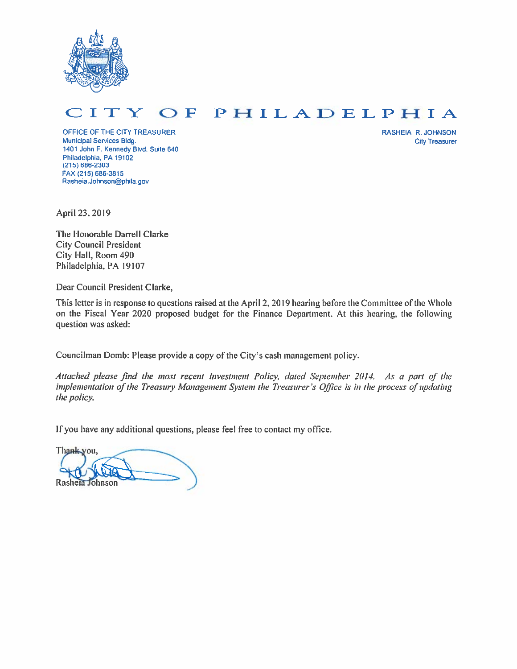

#### PHILADELPHIA O F I T € Y

OFFICE OF THE CITY TREASURER Municipal Services Bldg. 1401 John F. Kennedy Blvd. Suite 640 Philadelphia, PA 19102  $(215) 686 - 2303$ FAX (215) 686-3815 Rasheia.Johnson@phila.gov

**RASHEIA R. JOHNSON City Treasurer** 

April 23, 2019

The Honorable Darrell Clarke **City Council President** City Hall, Room 490 Philadelphia, PA 19107

Dear Council President Clarke,

This letter is in response to questions raised at the April 2, 2019 hearing before the Committee of the Whole on the Fiscal Year 2020 proposed budget for the Finance Department. At this hearing, the following question was asked:

Councilman Domb: Please provide a copy of the City's cash management policy.

Attached please find the most recent Investment Policy, dated September 2014. As a part of the implementation of the Treasury Management System the Treasurer's Office is in the process of updating the policy.

If you have any additional questions, please feel free to contact my office.

Thank you, Rasheia Johnson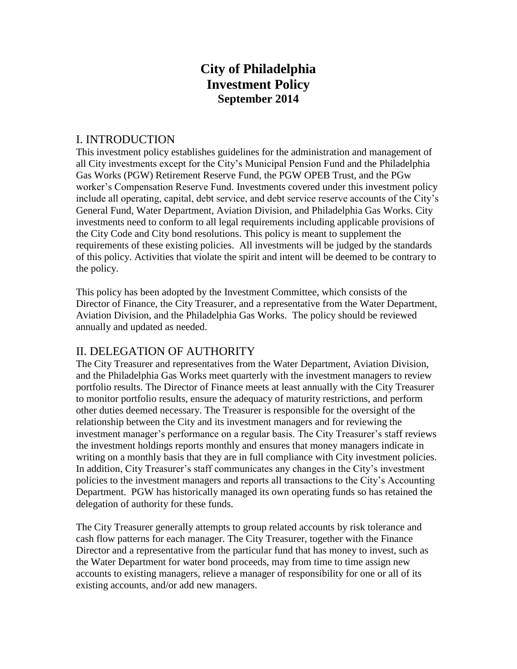# **City of Philadelphia Investment Policy September 2014**

### I. INTRODUCTION

This investment policy establishes guidelines for the administration and management of all City investments except for the City's Municipal Pension Fund and the Philadelphia Gas Works (PGW) Retirement Reserve Fund, the PGW OPEB Trust, and the PGw worker's Compensation Reserve Fund. Investments covered under this investment policy include all operating, capital, debt service, and debt service reserve accounts of the City's General Fund, Water Department, Aviation Division, and Philadelphia Gas Works. City investments need to conform to all legal requirements including applicable provisions of the City Code and City bond resolutions. This policy is meant to supplement the requirements of these existing policies. All investments will be judged by the standards of this policy. Activities that violate the spirit and intent will be deemed to be contrary to the policy.

This policy has been adopted by the Investment Committee, which consists of the Director of Finance, the City Treasurer, and a representative from the Water Department, Aviation Division, and the Philadelphia Gas Works. The policy should be reviewed annually and updated as needed.

## II. DELEGATION OF AUTHORITY

The City Treasurer and representatives from the Water Department, Aviation Division, and the Philadelphia Gas Works meet quarterly with the investment managers to review portfolio results. The Director of Finance meets at least annually with the City Treasurer to monitor portfolio results, ensure the adequacy of maturity restrictions, and perform other duties deemed necessary. The Treasurer is responsible for the oversight of the relationship between the City and its investment managers and for reviewing the investment manager's performance on a regular basis. The City Treasurer's staff reviews the investment holdings reports monthly and ensures that money managers indicate in writing on a monthly basis that they are in full compliance with City investment policies. In addition, City Treasurer's staff communicates any changes in the City's investment policies to the investment managers and reports all transactions to the City's Accounting Department. PGW has historically managed its own operating funds so has retained the delegation of authority for these funds.

The City Treasurer generally attempts to group related accounts by risk tolerance and cash flow patterns for each manager. The City Treasurer, together with the Finance Director and a representative from the particular fund that has money to invest, such as the Water Department for water bond proceeds, may from time to time assign new accounts to existing managers, relieve a manager of responsibility for one or all of its existing accounts, and/or add new managers.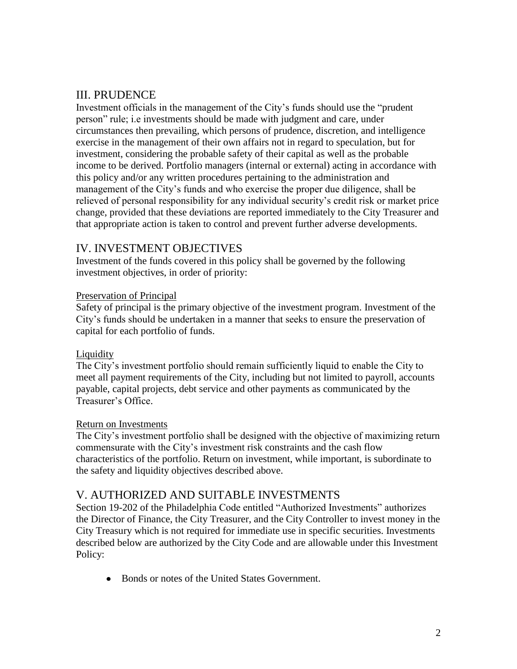# III. PRUDENCE

Investment officials in the management of the City's funds should use the "prudent person" rule; i.e investments should be made with judgment and care, under circumstances then prevailing, which persons of prudence, discretion, and intelligence exercise in the management of their own affairs not in regard to speculation, but for investment, considering the probable safety of their capital as well as the probable income to be derived. Portfolio managers (internal or external) acting in accordance with this policy and/or any written procedures pertaining to the administration and management of the City's funds and who exercise the proper due diligence, shall be relieved of personal responsibility for any individual security's credit risk or market price change, provided that these deviations are reported immediately to the City Treasurer and that appropriate action is taken to control and prevent further adverse developments.

## IV. INVESTMENT OBJECTIVES

Investment of the funds covered in this policy shall be governed by the following investment objectives, in order of priority:

#### Preservation of Principal

Safety of principal is the primary objective of the investment program. Investment of the City's funds should be undertaken in a manner that seeks to ensure the preservation of capital for each portfolio of funds.

#### **Liquidity**

The City's investment portfolio should remain sufficiently liquid to enable the City to meet all payment requirements of the City, including but not limited to payroll, accounts payable, capital projects, debt service and other payments as communicated by the Treasurer's Office.

#### Return on Investments

The City's investment portfolio shall be designed with the objective of maximizing return commensurate with the City's investment risk constraints and the cash flow characteristics of the portfolio. Return on investment, while important, is subordinate to the safety and liquidity objectives described above.

## V. AUTHORIZED AND SUITABLE INVESTMENTS

Section 19-202 of the Philadelphia Code entitled "Authorized Investments" authorizes the Director of Finance, the City Treasurer, and the City Controller to invest money in the City Treasury which is not required for immediate use in specific securities. Investments described below are authorized by the City Code and are allowable under this Investment Policy:

• Bonds or notes of the United States Government.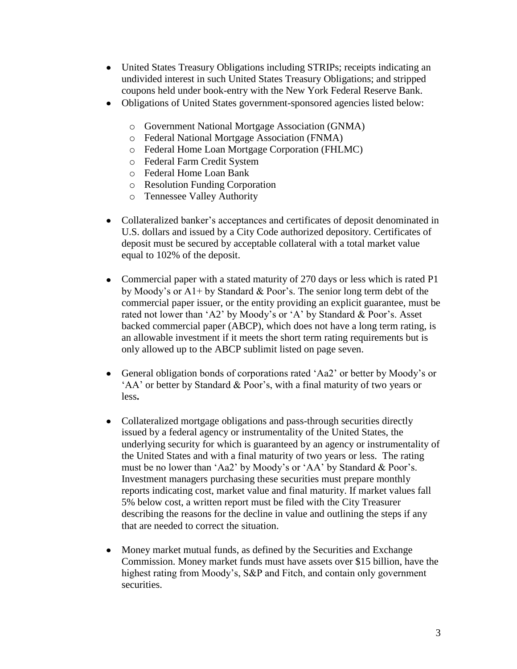- United States Treasury Obligations including STRIPs; receipts indicating an undivided interest in such United States Treasury Obligations; and stripped coupons held under book-entry with the New York Federal Reserve Bank.
- Obligations of United States government-sponsored agencies listed below:  $\bullet$ 
	- o Government National Mortgage Association (GNMA)
	- o Federal National Mortgage Association (FNMA)
	- o Federal Home Loan Mortgage Corporation (FHLMC)
	- o Federal Farm Credit System
	- o Federal Home Loan Bank
	- o Resolution Funding Corporation
	- o Tennessee Valley Authority
- Collateralized banker's acceptances and certificates of deposit denominated in  $\bullet$ U.S. dollars and issued by a City Code authorized depository. Certificates of deposit must be secured by acceptable collateral with a total market value equal to 102% of the deposit.
- Commercial paper with a stated maturity of 270 days or less which is rated P1 by Moody's or A1+ by Standard & Poor's. The senior long term debt of the commercial paper issuer, or the entity providing an explicit guarantee, must be rated not lower than 'A2' by Moody's or 'A' by Standard & Poor's. Asset backed commercial paper (ABCP), which does not have a long term rating, is an allowable investment if it meets the short term rating requirements but is only allowed up to the ABCP sublimit listed on page seven.
- General obligation bonds of corporations rated 'Aa2' or better by Moody's or  $\bullet$ 'AA' or better by Standard & Poor's, with a final maturity of two years or less**.**
- Collateralized mortgage obligations and pass-through securities directly  $\bullet$ issued by a federal agency or instrumentality of the United States, the underlying security for which is guaranteed by an agency or instrumentality of the United States and with a final maturity of two years or less. The rating must be no lower than 'Aa2' by Moody's or 'AA' by Standard & Poor's. Investment managers purchasing these securities must prepare monthly reports indicating cost, market value and final maturity. If market values fall 5% below cost, a written report must be filed with the City Treasurer describing the reasons for the decline in value and outlining the steps if any that are needed to correct the situation.
- Money market mutual funds, as defined by the Securities and Exchange  $\bullet$ Commission. Money market funds must have assets over \$15 billion, have the highest rating from Moody's, S&P and Fitch, and contain only government securities.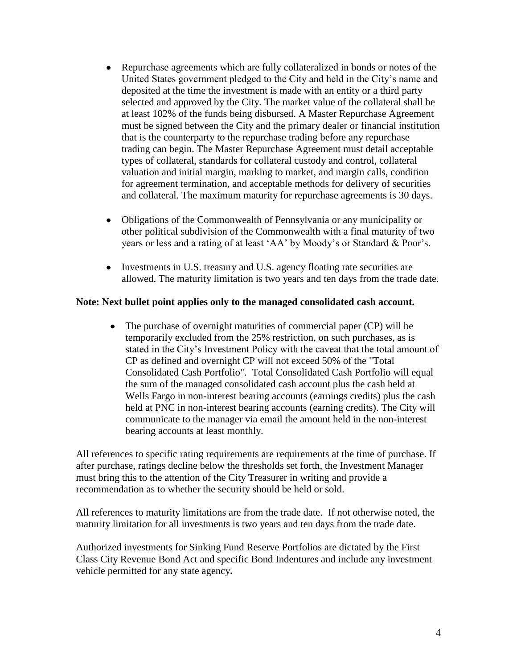- Repurchase agreements which are fully collateralized in bonds or notes of the  $\bullet$ United States government pledged to the City and held in the City's name and deposited at the time the investment is made with an entity or a third party selected and approved by the City. The market value of the collateral shall be at least 102% of the funds being disbursed. A Master Repurchase Agreement must be signed between the City and the primary dealer or financial institution that is the counterparty to the repurchase trading before any repurchase trading can begin. The Master Repurchase Agreement must detail acceptable types of collateral, standards for collateral custody and control, collateral valuation and initial margin, marking to market, and margin calls, condition for agreement termination, and acceptable methods for delivery of securities and collateral. The maximum maturity for repurchase agreements is 30 days.
- Obligations of the Commonwealth of Pennsylvania or any municipality or other political subdivision of the Commonwealth with a final maturity of two years or less and a rating of at least 'AA' by Moody's or Standard & Poor's.
- Investments in U.S. treasury and U.S. agency floating rate securities are allowed. The maturity limitation is two years and ten days from the trade date.

#### **Note: Next bullet point applies only to the managed consolidated cash account.**

The purchase of overnight maturities of commercial paper (CP) will be temporarily excluded from the 25% restriction, on such purchases, as is stated in the City's Investment Policy with the caveat that the total amount of CP as defined and overnight CP will not exceed 50% of the "Total Consolidated Cash Portfolio". Total Consolidated Cash Portfolio will equal the sum of the managed consolidated cash account plus the cash held at Wells Fargo in non-interest bearing accounts (earnings credits) plus the cash held at PNC in non-interest bearing accounts (earning credits). The City will communicate to the manager via email the amount held in the non-interest bearing accounts at least monthly.

All references to specific rating requirements are requirements at the time of purchase. If after purchase, ratings decline below the thresholds set forth, the Investment Manager must bring this to the attention of the City Treasurer in writing and provide a recommendation as to whether the security should be held or sold.

All references to maturity limitations are from the trade date. If not otherwise noted, the maturity limitation for all investments is two years and ten days from the trade date.

Authorized investments for Sinking Fund Reserve Portfolios are dictated by the First Class City Revenue Bond Act and specific Bond Indentures and include any investment vehicle permitted for any state agency**.**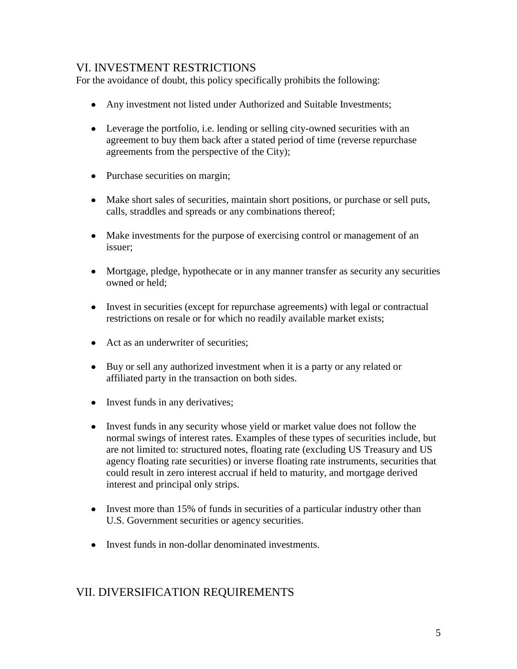## VI. INVESTMENT RESTRICTIONS

For the avoidance of doubt, this policy specifically prohibits the following:

- Any investment not listed under Authorized and Suitable Investments;
- Leverage the portfolio, i.e. lending or selling city-owned securities with an agreement to buy them back after a stated period of time (reverse repurchase agreements from the perspective of the City);
- Purchase securities on margin;
- Make short sales of securities, maintain short positions, or purchase or sell puts, calls, straddles and spreads or any combinations thereof;
- Make investments for the purpose of exercising control or management of an issuer;
- Mortgage, pledge, hypothecate or in any manner transfer as security any securities owned or held;
- Invest in securities (except for repurchase agreements) with legal or contractual restrictions on resale or for which no readily available market exists;
- Act as an underwriter of securities;
- Buy or sell any authorized investment when it is a party or any related or affiliated party in the transaction on both sides.
- Invest funds in any derivatives;
- Invest funds in any security whose yield or market value does not follow the normal swings of interest rates. Examples of these types of securities include, but are not limited to: structured notes, floating rate (excluding US Treasury and US agency floating rate securities) or inverse floating rate instruments, securities that could result in zero interest accrual if held to maturity, and mortgage derived interest and principal only strips.
- Invest more than 15% of funds in securities of a particular industry other than U.S. Government securities or agency securities.
- Invest funds in non-dollar denominated investments.

# VII. DIVERSIFICATION REQUIREMENTS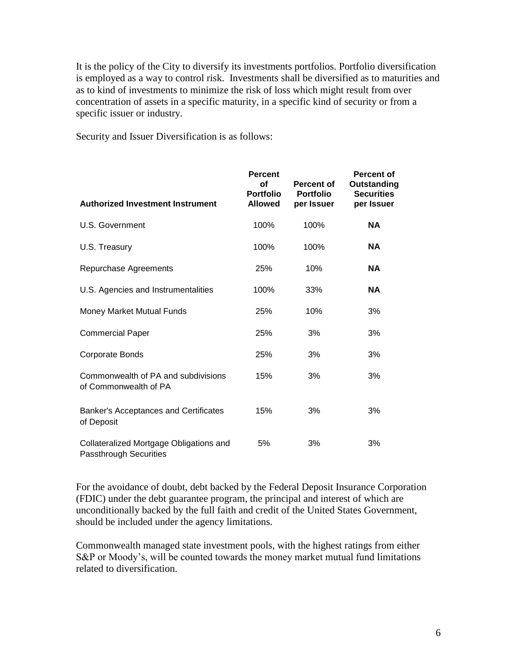It is the policy of the City to diversify its investments portfolios. Portfolio diversification is employed as a way to control risk. Investments shall be diversified as to maturities and as to kind of investments to minimize the risk of loss which might result from over concentration of assets in a specific maturity, in a specific kind of security or from a specific issuer or industry.

Security and Issuer Diversification is as follows:

| <b>Authorized Investment Instrument</b>                           | <b>Percent</b><br>Οf<br><b>Portfolio</b><br><b>Allowed</b> | Percent of<br><b>Portfolio</b><br>per Issuer | <b>Percent of</b><br>Outstanding<br><b>Securities</b><br>per Issuer |
|-------------------------------------------------------------------|------------------------------------------------------------|----------------------------------------------|---------------------------------------------------------------------|
| U.S. Government                                                   | 100%                                                       | 100%                                         | <b>NA</b>                                                           |
| U.S. Treasury                                                     | 100%                                                       | 100%                                         | <b>NA</b>                                                           |
| Repurchase Agreements                                             | 25%                                                        | 10%                                          | ΝA                                                                  |
| U.S. Agencies and Instrumentalities                               | 100%                                                       | 33%                                          | <b>NA</b>                                                           |
| Money Market Mutual Funds                                         | 25%                                                        | 10%                                          | 3%                                                                  |
| <b>Commercial Paper</b>                                           | 25%                                                        | 3%                                           | 3%                                                                  |
| Corporate Bonds                                                   | 25%                                                        | 3%                                           | 3%                                                                  |
| Commonwealth of PA and subdivisions<br>of Commonwealth of PA      | 15%                                                        | 3%                                           | 3%                                                                  |
| Banker's Acceptances and Certificates<br>of Deposit               | 15%                                                        | 3%                                           | 3%                                                                  |
| Collateralized Mortgage Obligations and<br>Passthrough Securities | 5%                                                         | 3%                                           | 3%                                                                  |

For the avoidance of doubt, debt backed by the Federal Deposit Insurance Corporation (FDIC) under the debt guarantee program, the principal and interest of which are unconditionally backed by the full faith and credit of the United States Government, should be included under the agency limitations.

Commonwealth managed state investment pools, with the highest ratings from either S&P or Moody's, will be counted towards the money market mutual fund limitations related to diversification.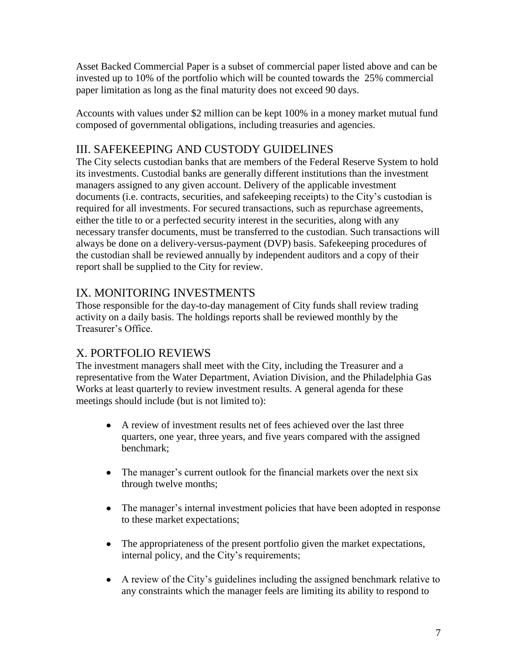Asset Backed Commercial Paper is a subset of commercial paper listed above and can be invested up to 10% of the portfolio which will be counted towards the 25% commercial paper limitation as long as the final maturity does not exceed 90 days.

Accounts with values under \$2 million can be kept 100% in a money market mutual fund composed of governmental obligations, including treasuries and agencies.

# III. SAFEKEEPING AND CUSTODY GUIDELINES

The City selects custodian banks that are members of the Federal Reserve System to hold its investments. Custodial banks are generally different institutions than the investment managers assigned to any given account. Delivery of the applicable investment documents (i.e. contracts, securities, and safekeeping receipts) to the City's custodian is required for all investments. For secured transactions, such as repurchase agreements, either the title to or a perfected security interest in the securities, along with any necessary transfer documents, must be transferred to the custodian. Such transactions will always be done on a delivery-versus-payment (DVP) basis. Safekeeping procedures of the custodian shall be reviewed annually by independent auditors and a copy of their report shall be supplied to the City for review.

# IX. MONITORING INVESTMENTS

Those responsible for the day-to-day management of City funds shall review trading activity on a daily basis. The holdings reports shall be reviewed monthly by the Treasurer's Office.

# X. PORTFOLIO REVIEWS

The investment managers shall meet with the City, including the Treasurer and a representative from the Water Department, Aviation Division, and the Philadelphia Gas Works at least quarterly to review investment results. A general agenda for these meetings should include (but is not limited to):

- A review of investment results net of fees achieved over the last three quarters, one year, three years, and five years compared with the assigned benchmark;
- The manager's current outlook for the financial markets over the next six through twelve months;
- The manager's internal investment policies that have been adopted in response to these market expectations;
- The appropriateness of the present portfolio given the market expectations, internal policy, and the City's requirements;
- A review of the City's guidelines including the assigned benchmark relative to any constraints which the manager feels are limiting its ability to respond to